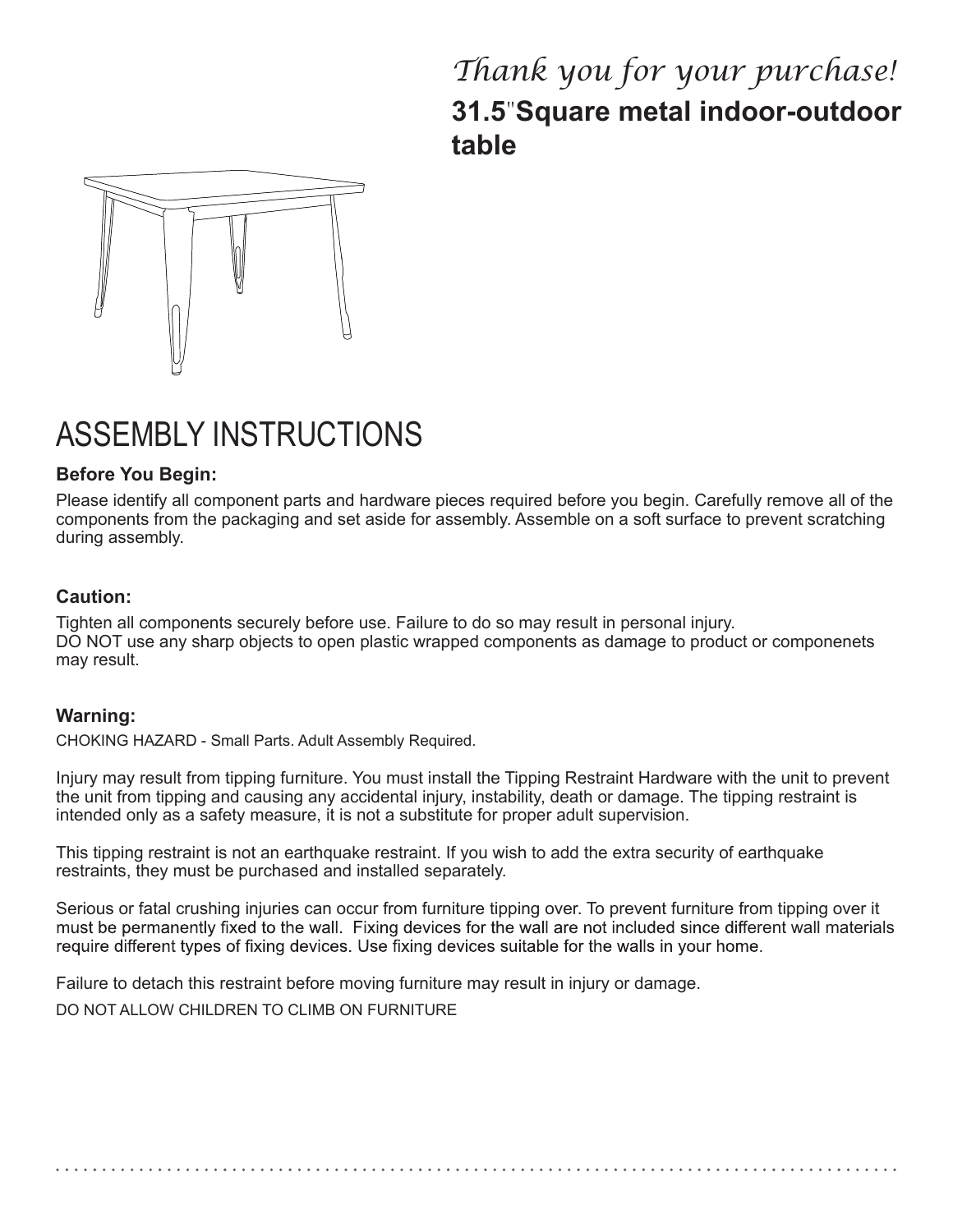## *Thank you for your purchase!* **31.5**"**Square metal indoor-outdoor table**



# ASSEMBLY INSTRUCTIONS

#### **Before You Begin:**

Please identify all component parts and hardware pieces required before you begin. Carefully remove all of the components from the packaging and set aside for assembly. Assemble on a soft surface to prevent scratching during assembly.

#### **Caution:**

Tighten all components securely before use. Failure to do so may result in personal injury. DO NOT use any sharp objects to open plastic wrapped components as damage to product or componenets may result.

#### **Warning:**

CHOKING HAZARD - Small Parts. Adult Assembly Required.

Injury may result from tipping furniture. You must install the Tipping Restraint Hardware with the unit to prevent the unit from tipping and causing any accidental injury, instability, death or damage. The tipping restraint is intended only as a safety measure, it is not a substitute for proper adult supervision.

This tipping restraint is not an earthquake restraint. If you wish to add the extra security of earthquake restraints, they must be purchased and installed separately.

Serious or fatal crushing injuries can occur from furniture tipping over. To prevent furniture from tipping over it must be permanently fixed to the wall. Fixing devices for the wall are not included since different wall materials require different types of fixing devices. Use fixing devices suitable for the walls in your home.

Failure to detach this restraint before moving furniture may result in injury or damage.

DO NOT ALLOW CHILDREN TO CLIMB ON FURNITURE